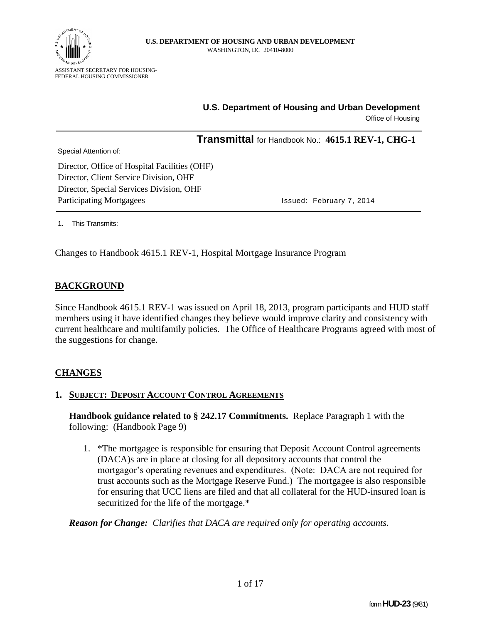

# **U.S. Department of Housing and Urban Development**

Office of Housing

**Transmittal** for Handbook No.: **4615.1 REV-1, CHG-1**

Special Attention of:

Director, Office of Hospital Facilities (OHF) Director, Client Service Division, OHF Director, Special Services Division, OHF Participating Mortgagees **Issued: February 7, 2014** 

1. This Transmits:

Changes to Handbook 4615.1 REV-1, Hospital Mortgage Insurance Program

## **BACKGROUND**

Since Handbook 4615.1 REV-1 was issued on April 18, 2013, program participants and HUD staff members using it have identified changes they believe would improve clarity and consistency with current healthcare and multifamily policies. The Office of Healthcare Programs agreed with most of the suggestions for change.

## **CHANGES**

#### **1. SUBJECT: DEPOSIT ACCOUNT CONTROL AGREEMENTS**

**Handbook guidance related to § 242.17 Commitments.** Replace Paragraph 1 with the following: (Handbook Page 9)

1. \*The mortgagee is responsible for ensuring that Deposit Account Control agreements (DACA)s are in place at closing for all depository accounts that control the mortgagor's operating revenues and expenditures. (Note: DACA are not required for trust accounts such as the Mortgage Reserve Fund.) The mortgagee is also responsible for ensuring that UCC liens are filed and that all collateral for the HUD-insured loan is securitized for the life of the mortgage.\*

*Reason for Change: Clarifies that DACA are required only for operating accounts.*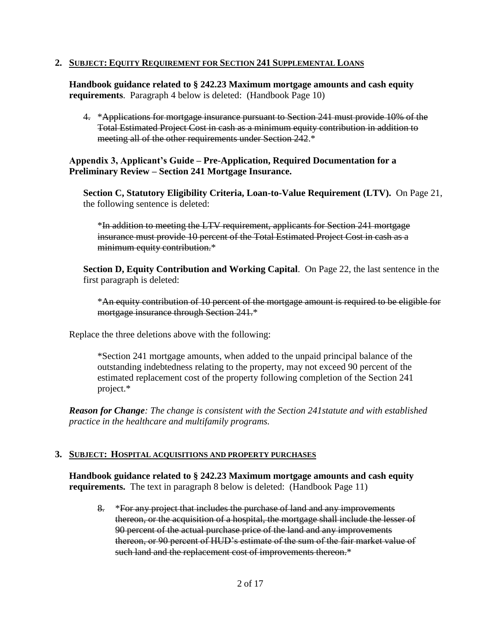#### **2. SUBJECT: EQUITY REQUIREMENT FOR SECTION 241 SUPPLEMENTAL LOANS**

**Handbook guidance related to § 242.23 Maximum mortgage amounts and cash equity requirements**. Paragraph 4 below is deleted: (Handbook Page 10)

4. \*Applications for mortgage insurance pursuant to Section 241 must provide 10% of the Total Estimated Project Cost in cash as a minimum equity contribution in addition to meeting all of the other requirements under Section 242.\*

**Appendix 3, Applicant's Guide – Pre-Application, Required Documentation for a Preliminary Review – Section 241 Mortgage Insurance.**

**Section C, Statutory Eligibility Criteria, Loan-to-Value Requirement (LTV).** On Page 21, the following sentence is deleted:

\*In addition to meeting the LTV requirement, applicants for Section 241 mortgage insurance must provide 10 percent of the Total Estimated Project Cost in cash as a minimum equity contribution.\*

**Section D, Equity Contribution and Working Capital**. On Page 22, the last sentence in the first paragraph is deleted:

\*An equity contribution of 10 percent of the mortgage amount is required to be eligible for mortgage insurance through Section 241.\*

Replace the three deletions above with the following:

\*Section 241 mortgage amounts, when added to the unpaid principal balance of the outstanding indebtedness relating to the property, may not exceed 90 percent of the estimated replacement cost of the property following completion of the Section 241 project.\*

*Reason for Change: The change is consistent with the Section 241statute and with established practice in the healthcare and multifamily programs.*

#### **3. SUBJECT: HOSPITAL ACQUISITIONS AND PROPERTY PURCHASES**

**Handbook guidance related to § 242.23 Maximum mortgage amounts and cash equity requirements.** The text in paragraph 8 below is deleted: (Handbook Page 11)

8. \*For any project that includes the purchase of land and any improvements thereon, or the acquisition of a hospital, the mortgage shall include the lesser of 90 percent of the actual purchase price of the land and any improvements thereon, or 90 percent of HUD's estimate of the sum of the fair market value of such land and the replacement cost of improvements thereon.\*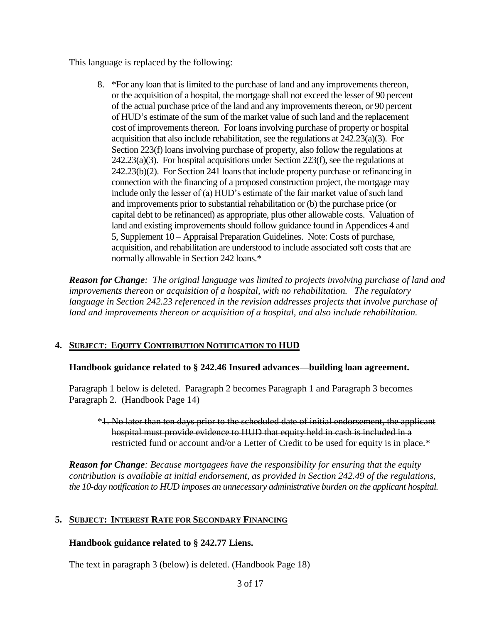This language is replaced by the following:

8. \*For any loan that is limited to the purchase of land and any improvements thereon, or the acquisition of a hospital, the mortgage shall not exceed the lesser of 90 percent of the actual purchase price of the land and any improvements thereon, or 90 percent of HUD's estimate of the sum of the market value of such land and the replacement cost of improvements thereon. For loans involving purchase of property or hospital acquisition that also include rehabilitation, see the regulations at 242.23(a)(3). For Section 223(f) loans involving purchase of property, also follow the regulations at 242.23(a)(3). For hospital acquisitions under Section 223(f), see the regulations at 242.23(b)(2). For Section 241 loans that include property purchase or refinancing in connection with the financing of a proposed construction project, the mortgage may include only the lesser of (a) HUD's estimate of the fair market value of such land and improvements prior to substantial rehabilitation or (b) the purchase price (or capital debt to be refinanced) as appropriate, plus other allowable costs. Valuation of land and existing improvements should follow guidance found in Appendices 4 and 5, Supplement 10 – Appraisal Preparation Guidelines. Note: Costs of purchase, acquisition, and rehabilitation are understood to include associated soft costs that are normally allowable in Section 242 loans.\*

*Reason for Change: The original language was limited to projects involving purchase of land and improvements thereon or acquisition of a hospital, with no rehabilitation. The regulatory*  language in Section 242.23 referenced in the revision addresses projects that involve purchase of *land and improvements thereon or acquisition of a hospital, and also include rehabilitation.* 

## **4. SUBJECT: EQUITY CONTRIBUTION NOTIFICATION TO HUD**

## **Handbook guidance related to § 242.46 Insured advances—building loan agreement.**

Paragraph 1 below is deleted. Paragraph 2 becomes Paragraph 1 and Paragraph 3 becomes Paragraph 2. (Handbook Page 14)

#### \*1. No later than ten days prior to the scheduled date of initial endorsement, the applicant hospital must provide evidence to HUD that equity held in cash is included in a restricted fund or account and/or a Letter of Credit to be used for equity is in place.\*

*Reason for Change: Because mortgagees have the responsibility for ensuring that the equity contribution is available at initial endorsement, as provided in Section 242.49 of the regulations, the 10-day notification to HUD imposes an unnecessary administrative burden on the applicant hospital.*

## **5. SUBJECT: INTEREST RATE FOR SECONDARY FINANCING**

## **Handbook guidance related to § 242.77 Liens.**

The text in paragraph 3 (below) is deleted. (Handbook Page 18)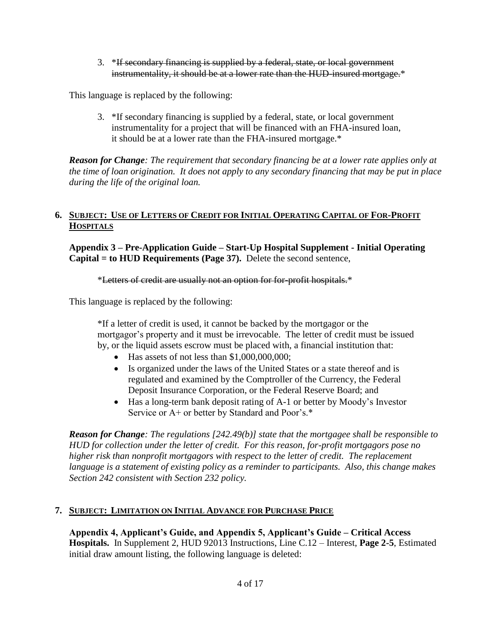3. \*If secondary financing is supplied by a federal, state, or local government instrumentality, it should be at a lower rate than the HUD-insured mortgage.\*

This language is replaced by the following:

3. \*If secondary financing is supplied by a federal, state, or local government instrumentality for a project that will be financed with an FHA-insured loan, it should be at a lower rate than the FHA-insured mortgage.\*

*Reason for Change: The requirement that secondary financing be at a lower rate applies only at the time of loan origination. It does not apply to any secondary financing that may be put in place during the life of the original loan.* 

## 6. SUBJECT: USE OF LETTERS OF CREDIT FOR INITIAL OPERATING CAPITAL OF FOR-PROFIT **HOSPITALS**

**Appendix 3 – Pre-Application Guide – Start-Up Hospital Supplement - Initial Operating Capital = to HUD Requirements (Page 37).** Delete the second sentence,

#### \*Letters of credit are usually not an option for for-profit hospitals.\*

This language is replaced by the following:

\*If a letter of credit is used, it cannot be backed by the mortgagor or the mortgagor's property and it must be irrevocable. The letter of credit must be issued by, or the liquid assets escrow must be placed with, a financial institution that:

- $\bullet$  Has assets of not less than \$1,000,000,000;
- Is organized under the laws of the United States or a state thereof and is regulated and examined by the Comptroller of the Currency, the Federal Deposit Insurance Corporation, or the Federal Reserve Board; and
- Has a long-term bank deposit rating of A-1 or better by Moody's Investor Service or A+ or better by Standard and Poor's.\*

*Reason for Change: The regulations [242.49(b)] state that the mortgagee shall be responsible to HUD for collection under the letter of credit. For this reason, for-profit mortgagors pose no higher risk than nonprofit mortgagors with respect to the letter of credit. The replacement language is a statement of existing policy as a reminder to participants. Also, this change makes Section 242 consistent with Section 232 policy.*

## **7. SUBJECT: LIMITATION ON INITIAL ADVANCE FOR PURCHASE PRICE**

**Appendix 4, Applicant's Guide, and Appendix 5, Applicant's Guide – Critical Access Hospitals.** In Supplement 2, HUD 92013 Instructions, Line C.12 – Interest, **Page 2-5**, Estimated initial draw amount listing, the following language is deleted: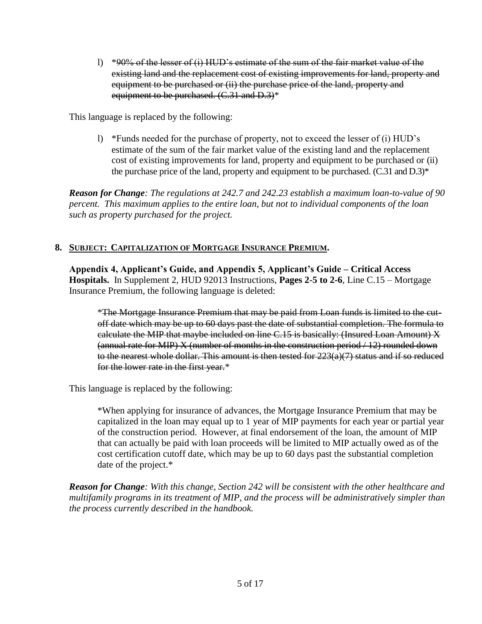l)  $*90\%$  of the lesser of (i) HUD's estimate of the sum of the fair market value of the existing land and the replacement cost of existing improvements for land, property and equipment to be purchased or (ii) the purchase price of the land, property and equipment to be purchased. (C.31 and D.3)\*

This language is replaced by the following:

l) \*Funds needed for the purchase of property, not to exceed the lesser of (i) HUD's estimate of the sum of the fair market value of the existing land and the replacement cost of existing improvements for land, property and equipment to be purchased or (ii) the purchase price of the land, property and equipment to be purchased. (C.31 and D.3)\*

*Reason for Change: The regulations at 242.7 and 242.23 establish a maximum loan-to-value of 90 percent. This maximum applies to the entire loan, but not to individual components of the loan such as property purchased for the project.* 

## **8. SUBJECT: CAPITALIZATION OF MORTGAGE INSURANCE PREMIUM.**

**Appendix 4, Applicant's Guide, and Appendix 5, Applicant's Guide – Critical Access Hospitals.** In Supplement 2, HUD 92013 Instructions, **Pages 2-5 to 2-6**, Line C.15 – Mortgage Insurance Premium, the following language is deleted:

\*The Mortgage Insurance Premium that may be paid from Loan funds is limited to the cutoff date which may be up to 60 days past the date of substantial completion. The formula to calculate the MIP that maybe included on line C.15 is basically: (Insured Loan Amount) X  ${\rm (annual\ rate\ for\ MIP)}$  X (number of months in the construction period  $/12$ ) rounded down to the nearest whole dollar. This amount is then tested for  $223(a)(7)$  status and if so reduced for the lower rate in the first year.\*

This language is replaced by the following:

\*When applying for insurance of advances, the Mortgage Insurance Premium that may be capitalized in the loan may equal up to 1 year of MIP payments for each year or partial year of the construction period. However, at final endorsement of the loan, the amount of MIP that can actually be paid with loan proceeds will be limited to MIP actually owed as of the cost certification cutoff date, which may be up to 60 days past the substantial completion date of the project.\*

*Reason for Change: With this change, Section 242 will be consistent with the other healthcare and multifamily programs in its treatment of MIP, and the process will be administratively simpler than the process currently described in the handbook.*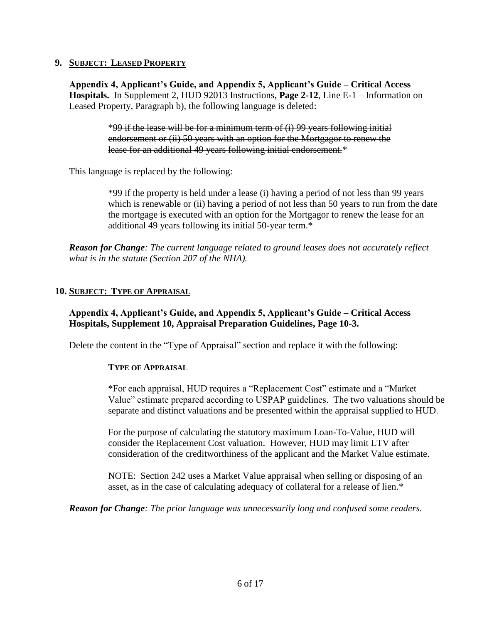#### **9. SUBJECT: LEASED PROPERTY**

**Appendix 4, Applicant's Guide, and Appendix 5, Applicant's Guide – Critical Access Hospitals.** In Supplement 2, HUD 92013 Instructions, **Page 2-12**, Line E-1 – Information on Leased Property, Paragraph b), the following language is deleted:

> \*99 if the lease will be for a minimum term of (i) 99 years following initial endorsement or (ii) 50 years with an option for the Mortgagor to renew the lease for an additional 49 years following initial endorsement.\*

This language is replaced by the following:

\*99 if the property is held under a lease (i) having a period of not less than 99 years which is renewable or (ii) having a period of not less than 50 years to run from the date the mortgage is executed with an option for the Mortgagor to renew the lease for an additional 49 years following its initial 50-year term.\*

*Reason for Change: The current language related to ground leases does not accurately reflect what is in the statute (Section 207 of the NHA).*

#### **10. SUBJECT: TYPE OF APPRAISAL**

## **Appendix 4, Applicant's Guide, and Appendix 5, Applicant's Guide – Critical Access Hospitals, Supplement 10, Appraisal Preparation Guidelines, Page 10-3.**

Delete the content in the "Type of Appraisal" section and replace it with the following:

#### **TYPE OF APPRAISAL**

\*For each appraisal, HUD requires a "Replacement Cost" estimate and a "Market Value" estimate prepared according to USPAP guidelines. The two valuations should be separate and distinct valuations and be presented within the appraisal supplied to HUD.

For the purpose of calculating the statutory maximum Loan-To-Value, HUD will consider the Replacement Cost valuation. However, HUD may limit LTV after consideration of the creditworthiness of the applicant and the Market Value estimate.

NOTE: Section 242 uses a Market Value appraisal when selling or disposing of an asset, as in the case of calculating adequacy of collateral for a release of lien.\*

*Reason for Change: The prior language was unnecessarily long and confused some readers.*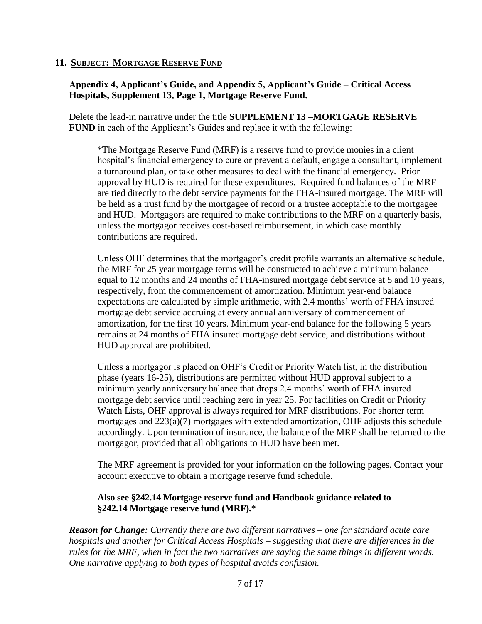## **11. SUBJECT: MORTGAGE RESERVE FUND**

## **Appendix 4, Applicant's Guide, and Appendix 5, Applicant's Guide – Critical Access Hospitals, Supplement 13, Page 1, Mortgage Reserve Fund.**

Delete the lead-in narrative under the title **SUPPLEMENT 13 –MORTGAGE RESERVE FUND** in each of the Applicant's Guides and replace it with the following:

\*The Mortgage Reserve Fund (MRF) is a reserve fund to provide monies in a client hospital's financial emergency to cure or prevent a default, engage a consultant, implement a turnaround plan, or take other measures to deal with the financial emergency. Prior approval by HUD is required for these expenditures. Required fund balances of the MRF are tied directly to the debt service payments for the FHA-insured mortgage. The MRF will be held as a trust fund by the mortgagee of record or a trustee acceptable to the mortgagee and HUD. Mortgagors are required to make contributions to the MRF on a quarterly basis, unless the mortgagor receives cost-based reimbursement, in which case monthly contributions are required.

Unless OHF determines that the mortgagor's credit profile warrants an alternative schedule, the MRF for 25 year mortgage terms will be constructed to achieve a minimum balance equal to 12 months and 24 months of FHA-insured mortgage debt service at 5 and 10 years, respectively, from the commencement of amortization. Minimum year-end balance expectations are calculated by simple arithmetic, with 2.4 months' worth of FHA insured mortgage debt service accruing at every annual anniversary of commencement of amortization, for the first 10 years. Minimum year-end balance for the following 5 years remains at 24 months of FHA insured mortgage debt service, and distributions without HUD approval are prohibited.

Unless a mortgagor is placed on OHF's Credit or Priority Watch list, in the distribution phase (years 16-25), distributions are permitted without HUD approval subject to a minimum yearly anniversary balance that drops 2.4 months' worth of FHA insured mortgage debt service until reaching zero in year 25. For facilities on Credit or Priority Watch Lists, OHF approval is always required for MRF distributions. For shorter term mortgages and 223(a)(7) mortgages with extended amortization, OHF adjusts this schedule accordingly. Upon termination of insurance, the balance of the MRF shall be returned to the mortgagor, provided that all obligations to HUD have been met.

The MRF agreement is provided for your information on the following pages. Contact your account executive to obtain a mortgage reserve fund schedule.

## **Also see §242.14 Mortgage reserve fund and Handbook guidance related to §242.14 Mortgage reserve fund (MRF).**\*

*Reason for Change: Currently there are two different narratives – one for standard acute care hospitals and another for Critical Access Hospitals – suggesting that there are differences in the rules for the MRF, when in fact the two narratives are saying the same things in different words. One narrative applying to both types of hospital avoids confusion.*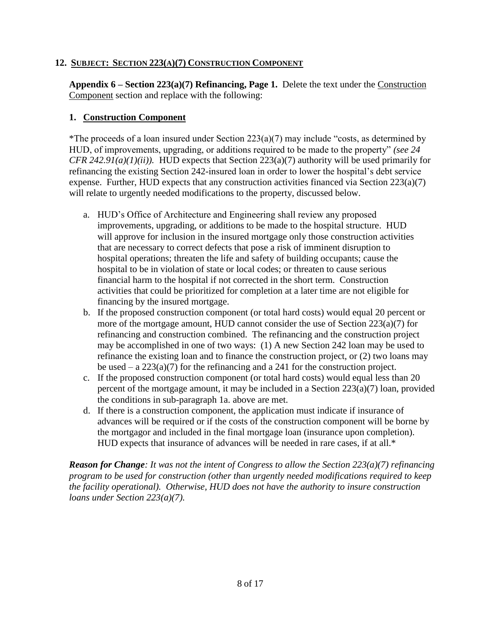## **12. SUBJECT: SECTION 223(A)(7) CONSTRUCTION COMPONENT**

**Appendix 6 – Section 223(a)(7) Refinancing, Page 1.** Delete the text under the Construction Component section and replace with the following:

## **1. Construction Component**

\*The proceeds of a loan insured under Section  $223(a)(7)$  may include "costs, as determined by HUD, of improvements, upgrading, or additions required to be made to the property" *(see 24 CFR 242.91(a)(1)(ii)).* HUD expects that Section 223(a)(7) authority will be used primarily for refinancing the existing Section 242-insured loan in order to lower the hospital's debt service expense. Further, HUD expects that any construction activities financed via Section 223(a)(7) will relate to urgently needed modifications to the property, discussed below.

- a. HUD's Office of Architecture and Engineering shall review any proposed improvements, upgrading, or additions to be made to the hospital structure. HUD will approve for inclusion in the insured mortgage only those construction activities that are necessary to correct defects that pose a risk of imminent disruption to hospital operations; threaten the life and safety of building occupants; cause the hospital to be in violation of state or local codes; or threaten to cause serious financial harm to the hospital if not corrected in the short term. Construction activities that could be prioritized for completion at a later time are not eligible for financing by the insured mortgage.
- b. If the proposed construction component (or total hard costs) would equal 20 percent or more of the mortgage amount, HUD cannot consider the use of Section 223(a)(7) for refinancing and construction combined. The refinancing and the construction project may be accomplished in one of two ways: (1) A new Section 242 loan may be used to refinance the existing loan and to finance the construction project, or (2) two loans may be used – a  $223(a)(7)$  for the refinancing and a 241 for the construction project.
- c. If the proposed construction component (or total hard costs) would equal less than 20 percent of the mortgage amount, it may be included in a Section 223(a)(7) loan, provided the conditions in sub-paragraph 1a. above are met.
- d. If there is a construction component, the application must indicate if insurance of advances will be required or if the costs of the construction component will be borne by the mortgagor and included in the final mortgage loan (insurance upon completion). HUD expects that insurance of advances will be needed in rare cases, if at all.\*

*Reason for Change: It was not the intent of Congress to allow the Section 223(a)(7) refinancing program to be used for construction (other than urgently needed modifications required to keep the facility operational). Otherwise, HUD does not have the authority to insure construction loans under Section 223(a)(7).*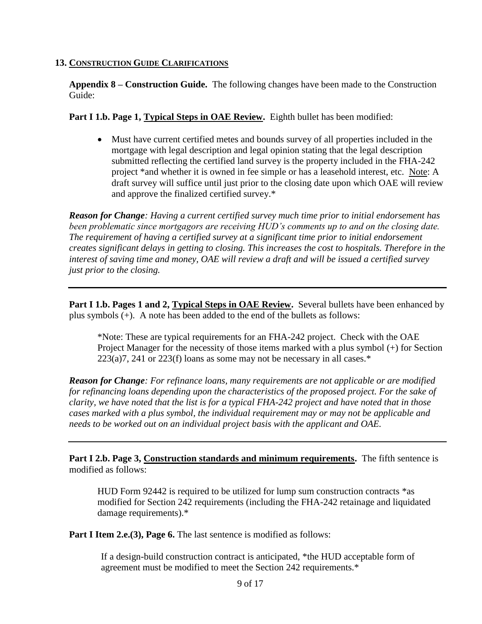#### **13. CONSTRUCTION GUIDE CLARIFICATIONS**

**Appendix 8 – Construction Guide.** The following changes have been made to the Construction Guide:

**Part I 1.b. Page 1, Typical Steps in OAE Review.** Eighth bullet has been modified:

 Must have current certified metes and bounds survey of all properties included in the mortgage with legal description and legal opinion stating that the legal description submitted reflecting the certified land survey is the property included in the FHA-242 project \*and whether it is owned in fee simple or has a leasehold interest, etc. Note: A draft survey will suffice until just prior to the closing date upon which OAE will review and approve the finalized certified survey.\*

*Reason for Change: Having a current certified survey much time prior to initial endorsement has been problematic since mortgagors are receiving HUD's comments up to and on the closing date. The requirement of having a certified survey at a significant time prior to initial endorsement creates significant delays in getting to closing. This increases the cost to hospitals. Therefore in the interest of saving time and money, OAE will review a draft and will be issued a certified survey just prior to the closing.*

**Part I 1.b. Pages 1 and 2, Typical Steps in OAE Review.** Several bullets have been enhanced by plus symbols (+). A note has been added to the end of the bullets as follows:

\*Note: These are typical requirements for an FHA-242 project. Check with the OAE Project Manager for the necessity of those items marked with a plus symbol (+) for Section  $223(a)7$ ,  $241$  or  $223(f)$  loans as some may not be necessary in all cases.\*

*Reason for Change: For refinance loans, many requirements are not applicable or are modified for refinancing loans depending upon the characteristics of the proposed project. For the sake of clarity, we have noted that the list is for a typical FHA-242 project and have noted that in those cases marked with a plus symbol, the individual requirement may or may not be applicable and needs to be worked out on an individual project basis with the applicant and OAE.*

**Part I 2.b. Page 3, Construction standards and minimum requirements.** The fifth sentence is modified as follows:

HUD Form 92442 is required to be utilized for lump sum construction contracts \*as modified for Section 242 requirements (including the FHA-242 retainage and liquidated damage requirements).\*

Part I Item 2.e.(3), Page 6. The last sentence is modified as follows:

If a design-build construction contract is anticipated, \*the HUD acceptable form of agreement must be modified to meet the Section 242 requirements.\*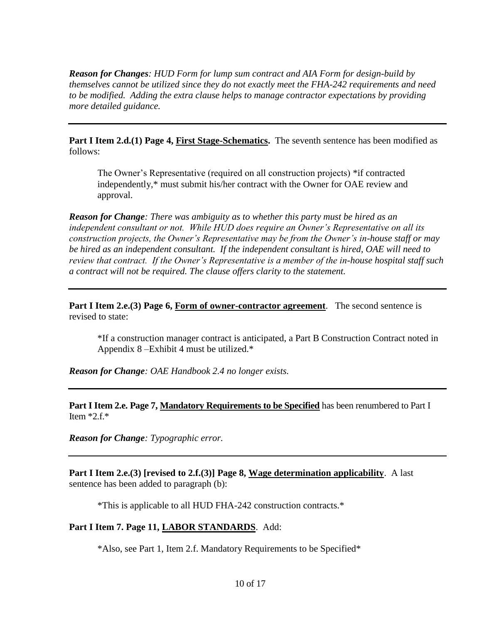*Reason for Changes: HUD Form for lump sum contract and AIA Form for design-build by themselves cannot be utilized since they do not exactly meet the FHA-242 requirements and need to be modified. Adding the extra clause helps to manage contractor expectations by providing more detailed guidance.*

**Part I Item 2.d.(1) Page 4, First Stage-Schematics.** The seventh sentence has been modified as follows:

The Owner's Representative (required on all construction projects) \*if contracted independently,\* must submit his/her contract with the Owner for OAE review and approval.

*Reason for Change: There was ambiguity as to whether this party must be hired as an independent consultant or not. While HUD does require an Owner's Representative on all its construction projects, the Owner's Representative may be from the Owner's in-house staff or may be hired as an independent consultant. If the independent consultant is hired, OAE will need to review that contract. If the Owner's Representative is a member of the in-house hospital staff such a contract will not be required. The clause offers clarity to the statement.*

**Part I Item 2.e.(3) Page 6, Form of owner-contractor agreement**. The second sentence is revised to state:

\*If a construction manager contract is anticipated, a Part B Construction Contract noted in Appendix 8 –Exhibit 4 must be utilized.\*

*Reason for Change: OAE Handbook 2.4 no longer exists.*

**Part I Item 2.e. Page 7, Mandatory Requirements to be Specified** has been renumbered to Part I Item  $*2.f.*$ 

*Reason for Change: Typographic error.*

**Part I Item 2.e.(3) [revised to 2.f.(3)] Page 8, Wage determination applicability**. A last sentence has been added to paragraph (b):

\*This is applicable to all HUD FHA-242 construction contracts.\*

## **Part I Item 7. Page 11, LABOR STANDARDS**.Add:

\*Also, see Part 1, Item 2.f. Mandatory Requirements to be Specified\*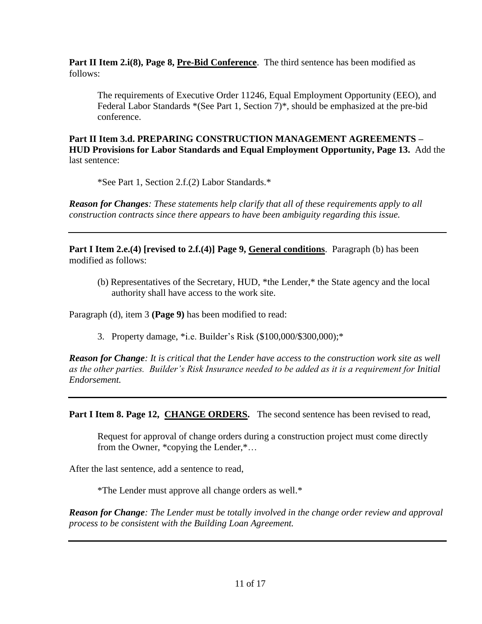Part II Item 2.i(8), Page 8, Pre-Bid Conference. The third sentence has been modified as follows:

The requirements of Executive Order 11246, Equal Employment Opportunity (EEO), and Federal Labor Standards \*(See Part 1, Section 7)\**,* should be emphasized at the pre-bid conference.

**Part II Item 3.d. PREPARING CONSTRUCTION MANAGEMENT AGREEMENTS – HUD Provisions for Labor Standards and Equal Employment Opportunity, Page 13.** Add the last sentence:

\*See Part 1, Section 2.f.(2) Labor Standards.\*

*Reason for Changes: These statements help clarify that all of these requirements apply to all construction contracts since there appears to have been ambiguity regarding this issue.*

**Part I Item 2.e.(4) [revised to 2.f.(4)] Page 9, General conditions**. Paragraph (b) has been modified as follows:

(b) Representatives of the Secretary, HUD, \*the Lender,\* the State agency and the local authority shall have access to the work site.

Paragraph (d), item 3 **(Page 9)** has been modified to read:

3. Property damage, \*i.e. Builder's Risk (\$100,000/\$300,000);\*

*Reason for Change: It is critical that the Lender have access to the construction work site as well as the other parties. Builder's Risk Insurance needed to be added as it is a requirement for Initial Endorsement.*

Part I Item 8. Page 12, **CHANGE ORDERS**. The second sentence has been revised to read,

Request for approval of change orders during a construction project must come directly from the Owner, \*copying the Lender,\*…

After the last sentence, add a sentence to read,

\*The Lender must approve all change orders as well.\*

*Reason for Change: The Lender must be totally involved in the change order review and approval process to be consistent with the Building Loan Agreement.*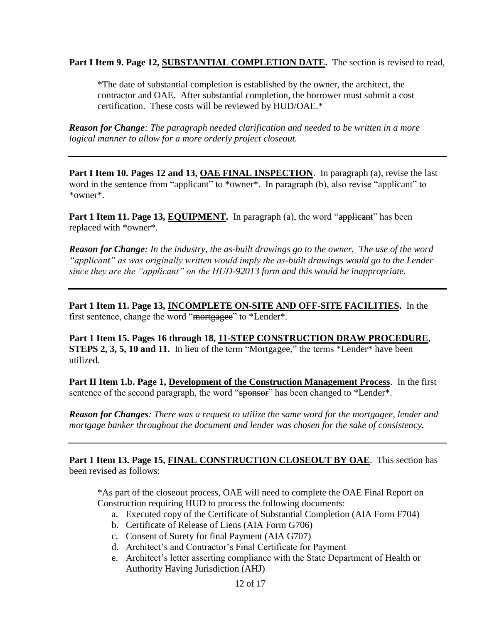**Part I Item 9. Page 12, SUBSTANTIAL COMPLETION DATE.** The section is revised to read,

\*The date of substantial completion is established by the owner, the architect, the contractor and OAE. After substantial completion, the borrower must submit a cost certification. These costs will be reviewed by HUD/OAE.\*

*Reason for Change: The paragraph needed clarification and needed to be written in a more logical manner to allow for a more orderly project closeout.*

**Part I Item 10. Pages 12 and 13, OAE FINAL INSPECTION**. In paragraph (a), revise the last word in the sentence from "applicant" to \*owner\*. In paragraph (b), also revise "applicant" to \*owner\*.

**Part 1 Item 11. Page 13, EQUIPMENT.** In paragraph (a), the word "applicant" has been replaced with \*owner\**.* 

*Reason for Change: In the industry, the as-built drawings go to the owner. The use of the word "applicant" as was originally written would imply the as-built drawings would go to the Lender since they are the "applicant" on the HUD-92013 form and this would be inappropriate.*

**Part 1 Item 11. Page 13, INCOMPLETE ON-SITE AND OFF-SITE FACILITIES.** In the first sentence, change the word "mortgagee" to \*Lender\**.* 

**Part 1 Item 15. Pages 16 through 18, 11-STEP CONSTRUCTION DRAW PROCEDURE**, **STEPS 2, 3, 5, 10 and 11.** In lieu of the term "Mortgagee," the terms \*Lender\* have been utilized.

**Part II Item 1.b. Page 1, Development of the Construction Management Process**. In the first sentence of the second paragraph, the word "sponsor" has been changed to \*Lender\*.

*Reason for Changes: There was a request to utilize the same word for the mortgagee, lender and mortgage banker throughout the document and lender was chosen for the sake of consistency.*

**Part 1 Item 13. Page 15, FINAL CONSTRUCTION CLOSEOUT BY OAE**. This section has been revised as follows:

\*As part of the closeout process, OAE will need to complete the OAE Final Report on Construction requiring HUD to process the following documents:

- a. Executed copy of the Certificate of Substantial Completion (AIA Form F704)
- b. Certificate of Release of Liens (AIA Form G706)
- c. Consent of Surety for final Payment (AIA G707)
- d. Architect's and Contractor's Final Certificate for Payment
- e. Architect's letter asserting compliance with the State Department of Health or Authority Having Jurisdiction (AHJ)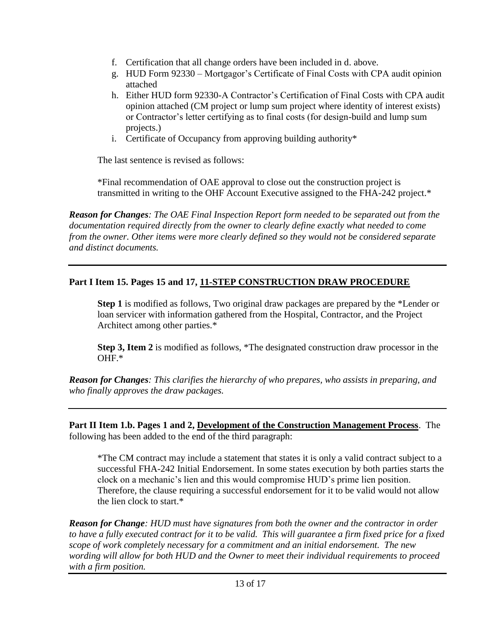- f. Certification that all change orders have been included in d. above.
- g. HUD Form 92330 Mortgagor's Certificate of Final Costs with CPA audit opinion attached
- h. Either HUD form 92330-A Contractor's Certification of Final Costs with CPA audit opinion attached (CM project or lump sum project where identity of interest exists) or Contractor's letter certifying as to final costs (for design-build and lump sum projects.)
- i. Certificate of Occupancy from approving building authority\*

The last sentence is revised as follows:

\*Final recommendation of OAE approval to close out the construction project is transmitted in writing to the OHF Account Executive assigned to the FHA-242 project.\*

*Reason for Changes: The OAE Final Inspection Report form needed to be separated out from the documentation required directly from the owner to clearly define exactly what needed to come from the owner. Other items were more clearly defined so they would not be considered separate and distinct documents.*

# **Part I Item 15. Pages 15 and 17, 11-STEP CONSTRUCTION DRAW PROCEDURE**

**Step 1** is modified as follows, Two original draw packages are prepared by the \*Lender or loan servicer with information gathered from the Hospital, Contractor, and the Project Architect among other parties.\*

**Step 3, Item 2** is modified as follows, \*The designated construction draw processor in the OHF.\*

*Reason for Changes: This clarifies the hierarchy of who prepares, who assists in preparing, and who finally approves the draw packages.*

**Part II Item 1.b. Pages 1 and 2, Development of the Construction Management Process**. The following has been added to the end of the third paragraph:

\*The CM contract may include a statement that states it is only a valid contract subject to a successful FHA-242 Initial Endorsement. In some states execution by both parties starts the clock on a mechanic's lien and this would compromise HUD's prime lien position. Therefore, the clause requiring a successful endorsement for it to be valid would not allow the lien clock to start.\*

*Reason for Change: HUD must have signatures from both the owner and the contractor in order to have a fully executed contract for it to be valid. This will guarantee a firm fixed price for a fixed scope of work completely necessary for a commitment and an initial endorsement. The new wording will allow for both HUD and the Owner to meet their individual requirements to proceed with a firm position.*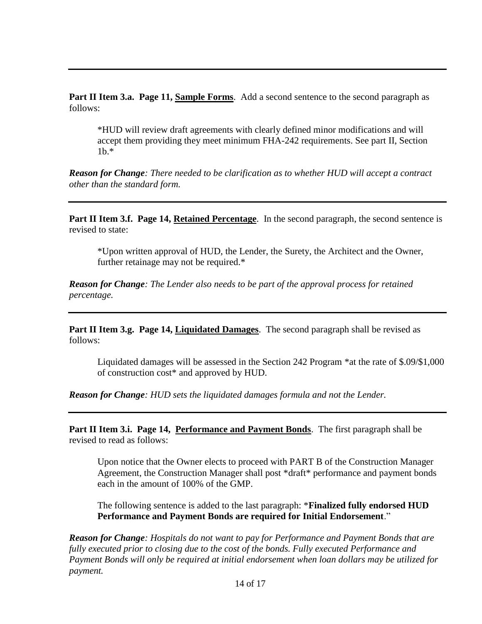**Part II Item 3.a. Page 11, Sample Forms.** Add a second sentence to the second paragraph as follows:

\*HUD will review draft agreements with clearly defined minor modifications and will accept them providing they meet minimum FHA-242 requirements. See part II, Section 1b.\*

*Reason for Change: There needed to be clarification as to whether HUD will accept a contract other than the standard form.*

**Part II Item 3.f. Page 14, Retained Percentage.** In the second paragraph, the second sentence is revised to state:

\*Upon written approval of HUD, the Lender, the Surety, the Architect and the Owner, further retainage may not be required.\*

*Reason for Change: The Lender also needs to be part of the approval process for retained percentage.*

**Part II Item 3.g. Page 14, Liquidated Damages**. The second paragraph shall be revised as follows:

Liquidated damages will be assessed in the Section 242 Program \*at the rate of \$.09/\$1,000 of construction cost\* and approved by HUD.

*Reason for Change: HUD sets the liquidated damages formula and not the Lender.*

**Part II Item 3.i. Page 14, Performance and Payment Bonds**. The first paragraph shall be revised to read as follows:

Upon notice that the Owner elects to proceed with PART B of the Construction Manager Agreement, the Construction Manager shall post \*draft\* performance and payment bonds each in the amount of 100% of the GMP.

The following sentence is added to the last paragraph: \***Finalized fully endorsed HUD Performance and Payment Bonds are required for Initial Endorsement**."

*Reason for Change: Hospitals do not want to pay for Performance and Payment Bonds that are fully executed prior to closing due to the cost of the bonds. Fully executed Performance and Payment Bonds will only be required at initial endorsement when loan dollars may be utilized for payment.*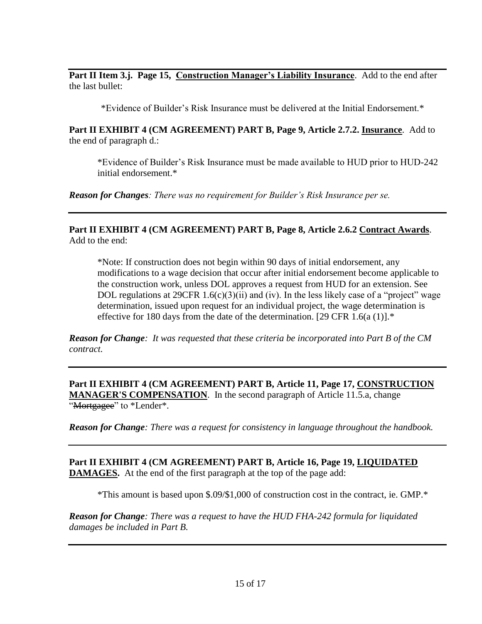**Part II Item 3.j. Page 15, Construction Manager's Liability Insurance**. Add to the end after the last bullet:

\*Evidence of Builder's Risk Insurance must be delivered at the Initial Endorsement.\*

**Part II EXHIBIT 4 (CM AGREEMENT) PART B, Page 9, Article 2.7.2. Insurance**. Add to the end of paragraph d.:

\*Evidence of Builder's Risk Insurance must be made available to HUD prior to HUD-242 initial endorsement.\*

*Reason for Changes: There was no requirement for Builder's Risk Insurance per se.*

**Part II EXHIBIT 4 (CM AGREEMENT) PART B, Page 8, Article 2.6.2 Contract Awards**. Add to the end:

\*Note: If construction does not begin within 90 days of initial endorsement, any modifications to a wage decision that occur after initial endorsement become applicable to the construction work, unless DOL approves a request from HUD for an extension. See DOL regulations at  $29CFR$  1.6(c)(3)(ii) and (iv). In the less likely case of a "project" wage determination, issued upon request for an individual project, the wage determination is effective for 180 days from the date of the determination. [29 CFR 1.6(a (1)]. $*$ 

*Reason for Change: It was requested that these criteria be incorporated into Part B of the CM contract.*

**Part II EXHIBIT 4 (CM AGREEMENT) PART B, Article 11, Page 17, CONSTRUCTION MANAGER'S COMPENSATION**. In the second paragraph of Article 11.5.a, change "Mortgagee" to \*Lender\*.

*Reason for Change: There was a request for consistency in language throughout the handbook.*

**Part II EXHIBIT 4 (CM AGREEMENT) PART B, Article 16, Page 19, LIQUIDATED DAMAGES.** At the end of the first paragraph at the top of the page add:

\*This amount is based upon \$.09/\$1,000 of construction cost in the contract, ie. GMP.\*

*Reason for Change: There was a request to have the HUD FHA-242 formula for liquidated damages be included in Part B.*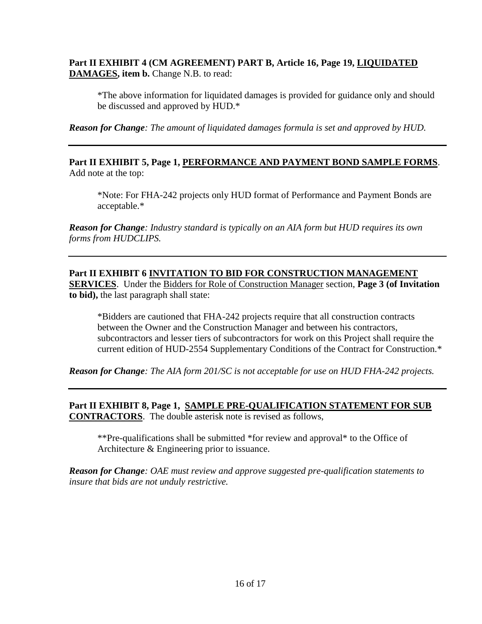## **Part II EXHIBIT 4 (CM AGREEMENT) PART B, Article 16, Page 19, LIQUIDATED DAMAGES, item b.** Change N.B. to read:

\*The above information for liquidated damages is provided for guidance only and should be discussed and approved by HUD.\*

*Reason for Change: The amount of liquidated damages formula is set and approved by HUD.*

**Part II EXHIBIT 5, Page 1, PERFORMANCE AND PAYMENT BOND SAMPLE FORMS**. Add note at the top:

\*Note: For FHA-242 projects only HUD format of Performance and Payment Bonds are acceptable.\*

*Reason for Change: Industry standard is typically on an AIA form but HUD requires its own forms from HUDCLIPS.*

# **Part II EXHIBIT 6 INVITATION TO BID FOR CONSTRUCTION MANAGEMENT**

**SERVICES**. Under the Bidders for Role of Construction Manager section, **Page 3 (of Invitation to bid),** the last paragraph shall state:

\*Bidders are cautioned that FHA-242 projects require that all construction contracts between the Owner and the Construction Manager and between his contractors, subcontractors and lesser tiers of subcontractors for work on this Project shall require the current edition of HUD-2554 Supplementary Conditions of the Contract for Construction.\*

*Reason for Change: The AIA form 201/SC is not acceptable for use on HUD FHA-242 projects.*

**Part II EXHIBIT 8, Page 1, SAMPLE PRE-QUALIFICATION STATEMENT FOR SUB CONTRACTORS**. The double asterisk note is revised as follows,

\*\*Pre-qualifications shall be submitted \*for review and approval\* to the Office of Architecture & Engineering prior to issuance.

*Reason for Change: OAE must review and approve suggested pre-qualification statements to insure that bids are not unduly restrictive.*